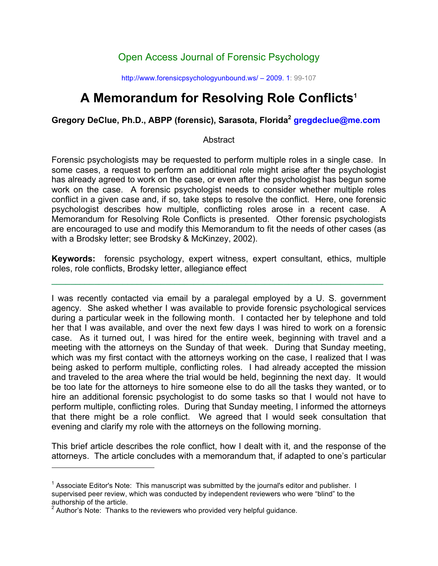## Open Access Journal of Forensic Psychology

http://www.forensicpsychologyunbound.ws/ – 2009. 1: 99-107

# **A Memorandum for Resolving Role Conflicts1**

### **Gregory DeClue, Ph.D., ABPP (forensic), Sarasota, Florida2 gregdeclue@me.com**

#### **Abstract**

Forensic psychologists may be requested to perform multiple roles in a single case. In some cases, a request to perform an additional role might arise after the psychologist has already agreed to work on the case, or even after the psychologist has begun some work on the case. A forensic psychologist needs to consider whether multiple roles conflict in a given case and, if so, take steps to resolve the conflict. Here, one forensic psychologist describes how multiple, conflicting roles arose in a recent case. A Memorandum for Resolving Role Conflicts is presented. Other forensic psychologists are encouraged to use and modify this Memorandum to fit the needs of other cases (as with a Brodsky letter; see Brodsky & McKinzey, 2002).

**Keywords:** forensic psychology, expert witness, expert consultant, ethics, multiple roles, role conflicts, Brodsky letter, allegiance effect

**¯**¯¯¯¯¯¯¯¯¯¯¯¯¨¯¨¯¨¯¨¯¨¯¨ I was recently contacted via email by a paralegal employed by a U. S. government agency. She asked whether I was available to provide forensic psychological services during a particular week in the following month. I contacted her by telephone and told her that I was available, and over the next few days I was hired to work on a forensic case. As it turned out, I was hired for the entire week, beginning with travel and a meeting with the attorneys on the Sunday of that week. During that Sunday meeting, which was my first contact with the attorneys working on the case, I realized that I was being asked to perform multiple, conflicting roles. I had already accepted the mission and traveled to the area where the trial would be held, beginning the next day. It would be too late for the attorneys to hire someone else to do all the tasks they wanted, or to hire an additional forensic psychologist to do some tasks so that I would not have to perform multiple, conflicting roles. During that Sunday meeting, I informed the attorneys that there might be a role conflict. We agreed that I would seek consultation that evening and clarify my role with the attorneys on the following morning.

This brief article describes the role conflict, how I dealt with it, and the response of the attorneys. The article concludes with a memorandum that, if adapted to one's particular

 $\overline{a}$ 

<sup>&</sup>lt;sup>1</sup> Associate Editor's Note: This manuscript was submitted by the journal's editor and publisher. I supervised peer review, which was conducted by independent reviewers who were "blind" to the authorship of the article.<br><sup>2</sup> Author's Nate: Thanks

Author's Note: Thanks to the reviewers who provided very helpful guidance.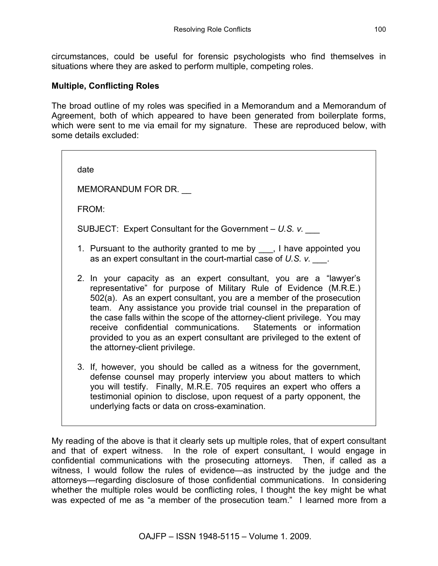circumstances, could be useful for forensic psychologists who find themselves in situations where they are asked to perform multiple, competing roles.

#### **Multiple, Conflicting Roles**

The broad outline of my roles was specified in a Memorandum and a Memorandum of Agreement, both of which appeared to have been generated from boilerplate forms, which were sent to me via email for my signature. These are reproduced below, with some details excluded:

date MEMORANDUM FOR DR. FROM: SUBJECT: Expert Consultant for the Government – *U.S. v. \_\_\_* 1. Pursuant to the authority granted to me by \_\_\_, I have appointed you as an expert consultant in the court-martial case of *U.S. v. \_\_\_.* 2. In your capacity as an expert consultant, you are a "lawyer's representative" for purpose of Military Rule of Evidence (M.R.E.) 502(a). As an expert consultant, you are a member of the prosecution team. Any assistance you provide trial counsel in the preparation of the case falls within the scope of the attorney-client privilege. You may receive confidential communications. Statements or information provided to you as an expert consultant are privileged to the extent of the attorney-client privilege. 3. If, however, you should be called as a witness for the government, defense counsel may properly interview you about matters to which you will testify. Finally, M.R.E. 705 requires an expert who offers a testimonial opinion to disclose, upon request of a party opponent, the underlying facts or data on cross-examination.

My reading of the above is that it clearly sets up multiple roles, that of expert consultant and that of expert witness. In the role of expert consultant, I would engage in confidential communications with the prosecuting attorneys. Then, if called as a witness, I would follow the rules of evidence—as instructed by the judge and the attorneys—regarding disclosure of those confidential communications. In considering whether the multiple roles would be conflicting roles, I thought the key might be what was expected of me as "a member of the prosecution team." I learned more from a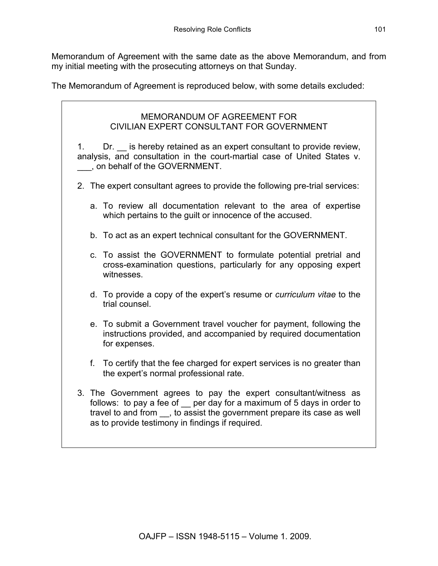Memorandum of Agreement with the same date as the above Memorandum, and from my initial meeting with the prosecuting attorneys on that Sunday.

The Memorandum of Agreement is reproduced below, with some details excluded:

| <b>MEMORANDUM OF AGREEMENT FOR</b><br>CIVILIAN EXPERT CONSULTANT FOR GOVERNMENT                                                                                                                                                                                        |
|------------------------------------------------------------------------------------------------------------------------------------------------------------------------------------------------------------------------------------------------------------------------|
| Dr. is hereby retained as an expert consultant to provide review,<br>1.<br>analysis, and consultation in the court-martial case of United States v.<br>___, on behalf of the GOVERNMENT.                                                                               |
| 2. The expert consultant agrees to provide the following pre-trial services:                                                                                                                                                                                           |
| a. To review all documentation relevant to the area of expertise<br>which pertains to the guilt or innocence of the accused.                                                                                                                                           |
| b. To act as an expert technical consultant for the GOVERNMENT.                                                                                                                                                                                                        |
| c. To assist the GOVERNMENT to formulate potential pretrial and<br>cross-examination questions, particularly for any opposing expert<br>witnesses.                                                                                                                     |
| d. To provide a copy of the expert's resume or <i>curriculum vitae</i> to the<br>trial counsel.                                                                                                                                                                        |
| e. To submit a Government travel voucher for payment, following the<br>instructions provided, and accompanied by required documentation<br>for expenses.                                                                                                               |
| To certify that the fee charged for expert services is no greater than<br>f.<br>the expert's normal professional rate.                                                                                                                                                 |
| 3. The Government agrees to pay the expert consultant/witness as<br>follows: to pay a fee of per day for a maximum of 5 days in order to<br>travel to and from , to assist the government prepare its case as well<br>as to provide testimony in findings if required. |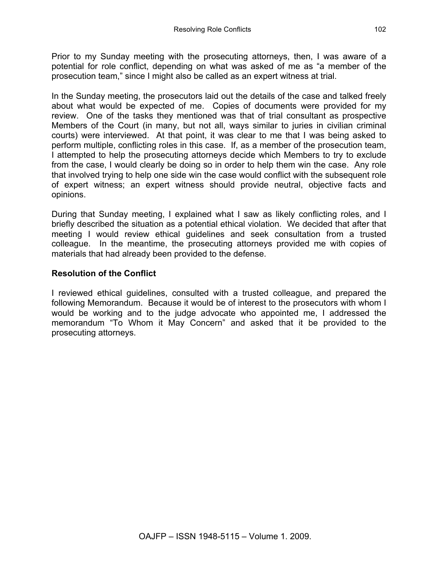Prior to my Sunday meeting with the prosecuting attorneys, then, I was aware of a potential for role conflict, depending on what was asked of me as "a member of the prosecution team," since I might also be called as an expert witness at trial.

In the Sunday meeting, the prosecutors laid out the details of the case and talked freely about what would be expected of me. Copies of documents were provided for my review. One of the tasks they mentioned was that of trial consultant as prospective Members of the Court (in many, but not all, ways similar to juries in civilian criminal courts) were interviewed. At that point, it was clear to me that I was being asked to perform multiple, conflicting roles in this case. If, as a member of the prosecution team, I attempted to help the prosecuting attorneys decide which Members to try to exclude from the case, I would clearly be doing so in order to help them win the case. Any role that involved trying to help one side win the case would conflict with the subsequent role of expert witness; an expert witness should provide neutral, objective facts and opinions.

During that Sunday meeting, I explained what I saw as likely conflicting roles, and I briefly described the situation as a potential ethical violation. We decided that after that meeting I would review ethical guidelines and seek consultation from a trusted colleague. In the meantime, the prosecuting attorneys provided me with copies of materials that had already been provided to the defense.

### **Resolution of the Conflict**

I reviewed ethical guidelines, consulted with a trusted colleague, and prepared the following Memorandum. Because it would be of interest to the prosecutors with whom I would be working and to the judge advocate who appointed me, I addressed the memorandum "To Whom it May Concern" and asked that it be provided to the prosecuting attorneys.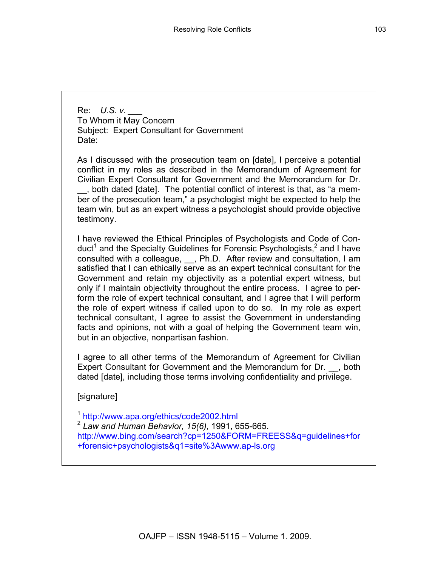Re: *U.S. v. \_\_\_* To Whom it May Concern Subject: Expert Consultant for Government Date:

As I discussed with the prosecution team on [date], I perceive a potential conflict in my roles as described in the Memorandum of Agreement for Civilian Expert Consultant for Government and the Memorandum for Dr. \_\_, both dated [date]. The potential conflict of interest is that, as "a member of the prosecution team," a psychologist might be expected to help the team win, but as an expert witness a psychologist should provide objective testimony.

I have reviewed the Ethical Principles of Psychologists and Code of Conduct<sup>1</sup> and the Specialty Guidelines for Forensic Psychologists,<sup>2</sup> and I have consulted with a colleague, \_\_, Ph.D. After review and consultation, I am satisfied that I can ethically serve as an expert technical consultant for the Government and retain my objectivity as a potential expert witness, but only if I maintain objectivity throughout the entire process. I agree to perform the role of expert technical consultant, and I agree that I will perform the role of expert witness if called upon to do so. In my role as expert technical consultant, I agree to assist the Government in understanding facts and opinions, not with a goal of helping the Government team win, but in an objective, nonpartisan fashion.

I agree to all other terms of the Memorandum of Agreement for Civilian Expert Consultant for Government and the Memorandum for Dr. \_\_, both dated [date], including those terms involving confidentiality and privilege.

[signature]

<sup>1</sup> http://www.apa.org/ethics/code2002.html

<sup>2</sup> *Law and Human Behavior, 15(6),* 1991, 655-665. http://www.bing.com/search?cp=1250&FORM=FREESS&q=guidelines+for +forensic+psychologists&q1=site%3Awww.ap-ls.org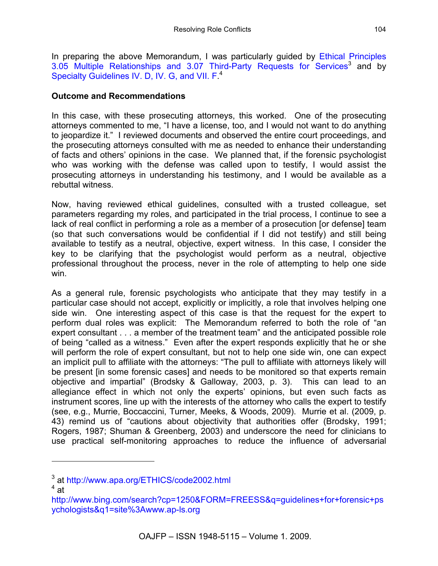In preparing the above Memorandum, I was particularly guided by Ethical Principles 3.05 Multiple Relationships and 3.07 Third-Party Requests for Services<sup>3</sup> and by Specialty Guidelines IV. D, IV. G, and VII. F<sup>4</sup>

#### **Outcome and Recommendations**

In this case, with these prosecuting attorneys, this worked. One of the prosecuting attorneys commented to me, "I have a license, too, and I would not want to do anything to jeopardize it." I reviewed documents and observed the entire court proceedings, and the prosecuting attorneys consulted with me as needed to enhance their understanding of facts and others' opinions in the case. We planned that, if the forensic psychologist who was working with the defense was called upon to testify, I would assist the prosecuting attorneys in understanding his testimony, and I would be available as a rebuttal witness.

Now, having reviewed ethical guidelines, consulted with a trusted colleague, set parameters regarding my roles, and participated in the trial process, I continue to see a lack of real conflict in performing a role as a member of a prosecution [or defense] team (so that such conversations would be confidential if I did not testify) and still being available to testify as a neutral, objective, expert witness. In this case, I consider the key to be clarifying that the psychologist would perform as a neutral, objective professional throughout the process, never in the role of attempting to help one side win.

As a general rule, forensic psychologists who anticipate that they may testify in a particular case should not accept, explicitly or implicitly, a role that involves helping one side win. One interesting aspect of this case is that the request for the expert to perform dual roles was explicit: The Memorandum referred to both the role of "an expert consultant . . . a member of the treatment team" and the anticipated possible role of being "called as a witness." Even after the expert responds explicitly that he or she will perform the role of expert consultant, but not to help one side win, one can expect an implicit pull to affiliate with the attorneys: "The pull to affiliate with attorneys likely will be present [in some forensic cases] and needs to be monitored so that experts remain objective and impartial" (Brodsky & Galloway, 2003, p. 3). This can lead to an allegiance effect in which not only the experts' opinions, but even such facts as instrument scores, line up with the interests of the attorney who calls the expert to testify (see, e.g., Murrie, Boccaccini, Turner, Meeks, & Woods, 2009). Murrie et al. (2009, p. 43) remind us of "cautions about objectivity that authorities offer (Brodsky, 1991; Rogers, 1987; Shuman & Greenberg, 2003) and underscore the need for clinicians to use practical self-monitoring approaches to reduce the influence of adversarial

 $\overline{a}$ 

<sup>3</sup> at http://www.apa.org/ETHICS/code2002.html

 $^4$  at

http://www.bing.com/search?cp=1250&FORM=FREESS&q=guidelines+for+forensic+ps ychologists&q1=site%3Awww.ap-ls.org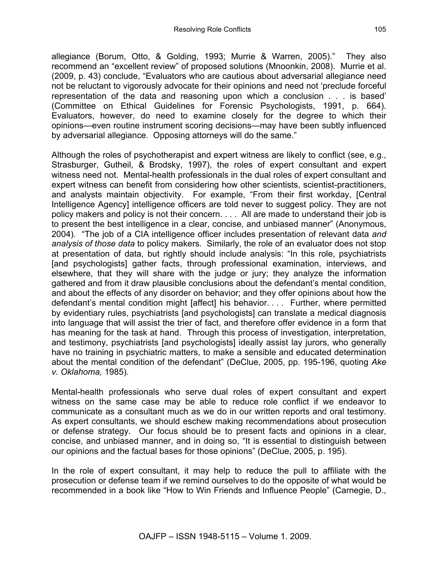allegiance (Borum, Otto, & Golding, 1993; Murrie & Warren, 2005)." They also recommend an "excellent review" of proposed solutions (Mnoonkin, 2008). Murrie et al. (2009, p. 43) conclude, "Evaluators who are cautious about adversarial allegiance need not be reluctant to vigorously advocate for their opinions and need not 'preclude forceful representation of the data and reasoning upon which a conclusion . . . is based' (Committee on Ethical Guidelines for Forensic Psychologists, 1991, p. 664). Evaluators, however, do need to examine closely for the degree to which their opinions—even routine instrument scoring decisions—may have been subtly influenced by adversarial allegiance. Opposing attorneys will do the same."

Although the roles of psychotherapist and expert witness are likely to conflict (see, e.g., Strasburger, Gutheil, & Brodsky, 1997), the roles of expert consultant and expert witness need not. Mental-health professionals in the dual roles of expert consultant and expert witness can benefit from considering how other scientists, scientist-practitioners, and analysts maintain objectivity. For example, "From their first workday, [Central Intelligence Agency] intelligence officers are told never to suggest policy. They are not policy makers and policy is not their concern. . . . All are made to understand their job is to present the best intelligence in a clear, concise, and unbiased manner" (Anonymous, 2004). "The job of a CIA intelligence officer includes presentation of relevant data *and analysis of those data* to policy makers. Similarly, the role of an evaluator does not stop at presentation of data, but rightly should include analysis: "In this role, psychiatrists [and psychologists] gather facts, through professional examination, interviews, and elsewhere, that they will share with the judge or jury; they analyze the information gathered and from it draw plausible conclusions about the defendant's mental condition, and about the effects of any disorder on behavior; and they offer opinions about how the defendant's mental condition might [affect] his behavior. . . . Further, where permitted by evidentiary rules, psychiatrists [and psychologists] can translate a medical diagnosis into language that will assist the trier of fact, and therefore offer evidence in a form that has meaning for the task at hand. Through this process of investigation, interpretation, and testimony, psychiatrists [and psychologists] ideally assist lay jurors, who generally have no training in psychiatric matters, to make a sensible and educated determination about the mental condition of the defendant" (DeClue, 2005, pp. 195-196, quoting *Ake v. Oklahoma,* 1985).

Mental-health professionals who serve dual roles of expert consultant and expert witness on the same case may be able to reduce role conflict if we endeavor to communicate as a consultant much as we do in our written reports and oral testimony. As expert consultants, we should eschew making recommendations about prosecution or defense strategy. Our focus should be to present facts and opinions in a clear, concise, and unbiased manner, and in doing so, "It is essential to distinguish between our opinions and the factual bases for those opinions" (DeClue, 2005, p. 195).

In the role of expert consultant, it may help to reduce the pull to affiliate with the prosecution or defense team if we remind ourselves to do the opposite of what would be recommended in a book like "How to Win Friends and Influence People" (Carnegie, D.,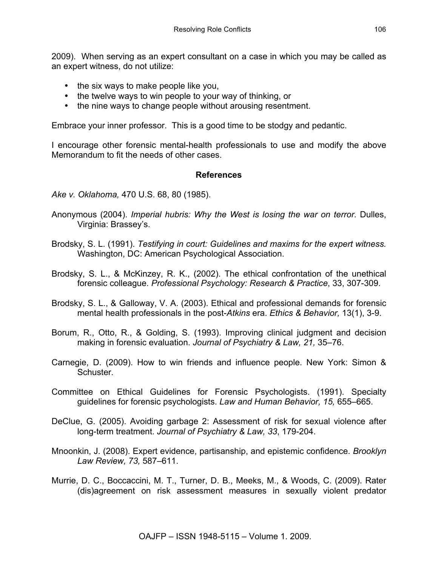2009). When serving as an expert consultant on a case in which you may be called as an expert witness, do not utilize:

- the six ways to make people like you,
- the twelve ways to win people to your way of thinking, or
- the nine ways to change people without arousing resentment.

Embrace your inner professor. This is a good time to be stodgy and pedantic.

I encourage other forensic mental-health professionals to use and modify the above Memorandum to fit the needs of other cases.

#### **References**

*Ake v. Oklahoma,* 470 U.S. 68, 80 (1985).

- Anonymous (2004). *Imperial hubris: Why the West is losing the war on terror.* Dulles, Virginia: Brassey's.
- Brodsky, S. L. (1991). *Testifying in court: Guidelines and maxims for the expert witness.* Washington, DC: American Psychological Association.
- Brodsky, S. L., & McKinzey, R. K., (2002). The ethical confrontation of the unethical forensic colleague. *Professional Psychology: Research & Practice*, 33, 307-309.
- Brodsky, S. L., & Galloway, V. A. (2003). Ethical and professional demands for forensic mental health professionals in the post-*Atkins* era. *Ethics & Behavior,* 13(1), 3-9.
- Borum, R., Otto, R., & Golding, S. (1993). Improving clinical judgment and decision making in forensic evaluation. *Journal of Psychiatry & Law, 21,* 35–76.
- Carnegie, D. (2009). How to win friends and influence people. New York: Simon & Schuster.
- Committee on Ethical Guidelines for Forensic Psychologists. (1991). Specialty guidelines for forensic psychologists. *Law and Human Behavior, 15,* 655–665.
- DeClue, G. (2005). Avoiding garbage 2: Assessment of risk for sexual violence after long-term treatment. *Journal of Psychiatry & Law, 33*, 179-204.
- Mnoonkin, J. (2008). Expert evidence, partisanship, and epistemic confidence. *Brooklyn Law Review, 73,* 587–611.
- Murrie, D. C., Boccaccini, M. T., Turner, D. B., Meeks, M., & Woods, C. (2009). Rater (dis)agreement on risk assessment measures in sexually violent predator